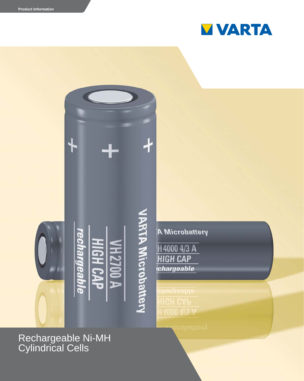



Rechargeable Ni-MH Cylindrical Cells